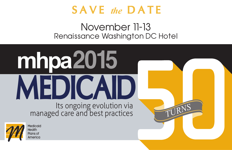

## November 11-13 Renaissance Washington DC Hotel